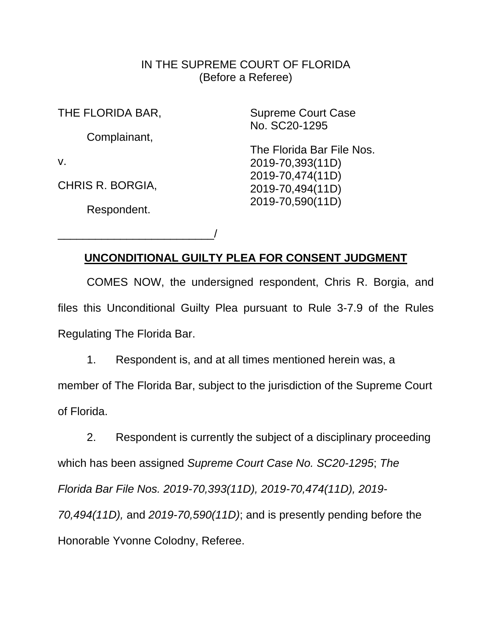## IN THE SUPREME COURT OF FLORIDA (Before a Referee)

THE FLORIDA BAR,

Complainant,

v.

CHRIS R. BORGIA,

Respondent.

\_\_\_\_\_\_\_\_\_\_\_\_\_\_\_\_\_\_\_\_\_\_\_\_\_/

Supreme Court Case No. SC20-1295

The Florida Bar File Nos. 2019-70,393(11D) 2019-70,474(11D) 2019-70,494(11D) 2019-70,590(11D)

# **UNCONDITIONAL GUILTY PLEA FOR CONSENT JUDGMENT**

COMES NOW, the undersigned respondent, Chris R. Borgia, and files this Unconditional Guilty Plea pursuant to Rule 3-7.9 of the Rules Regulating The Florida Bar.

1. Respondent is, and at all times mentioned herein was, a

member of The Florida Bar, subject to the jurisdiction of the Supreme Court of Florida.

2. Respondent is currently the subject of a disciplinary proceeding which has been assigned *Supreme Court Case No. SC20-1295*; *The Florida Bar File Nos. 2019-70,393(11D), 2019-70,474(11D), 2019- 70,494(11D),* and *2019-70,590(11D)*; and is presently pending before the Honorable Yvonne Colodny, Referee.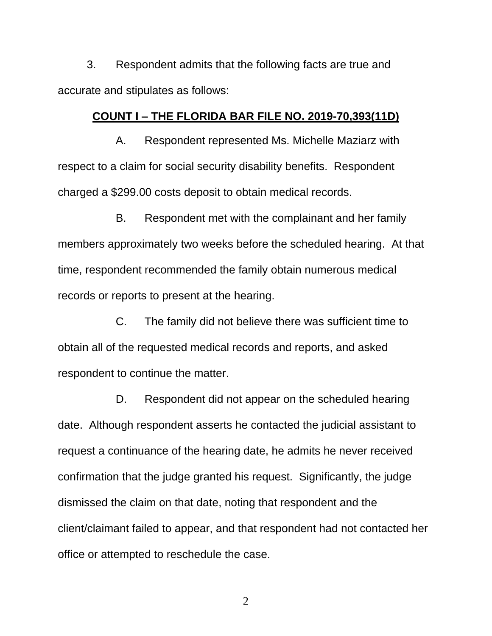3. Respondent admits that the following facts are true and accurate and stipulates as follows:

#### **COUNT I – THE FLORIDA BAR FILE NO. 2019-70,393(11D)**

A. Respondent represented Ms. Michelle Maziarz with respect to a claim for social security disability benefits. Respondent charged a \$299.00 costs deposit to obtain medical records.

B. Respondent met with the complainant and her family members approximately two weeks before the scheduled hearing. At that time, respondent recommended the family obtain numerous medical records or reports to present at the hearing.

C. The family did not believe there was sufficient time to obtain all of the requested medical records and reports, and asked respondent to continue the matter.

D. Respondent did not appear on the scheduled hearing date. Although respondent asserts he contacted the judicial assistant to request a continuance of the hearing date, he admits he never received confirmation that the judge granted his request. Significantly, the judge dismissed the claim on that date, noting that respondent and the client/claimant failed to appear, and that respondent had not contacted her office or attempted to reschedule the case.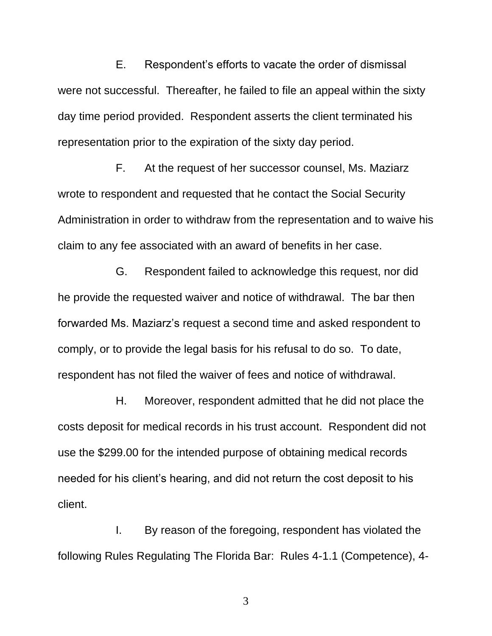E. Respondent's efforts to vacate the order of dismissal were not successful. Thereafter, he failed to file an appeal within the sixty day time period provided. Respondent asserts the client terminated his representation prior to the expiration of the sixty day period.

F. At the request of her successor counsel, Ms. Maziarz wrote to respondent and requested that he contact the Social Security Administration in order to withdraw from the representation and to waive his claim to any fee associated with an award of benefits in her case.

G. Respondent failed to acknowledge this request, nor did he provide the requested waiver and notice of withdrawal. The bar then forwarded Ms. Maziarz's request a second time and asked respondent to comply, or to provide the legal basis for his refusal to do so. To date, respondent has not filed the waiver of fees and notice of withdrawal.

H. Moreover, respondent admitted that he did not place the costs deposit for medical records in his trust account. Respondent did not use the \$299.00 for the intended purpose of obtaining medical records needed for his client's hearing, and did not return the cost deposit to his client.

I. By reason of the foregoing, respondent has violated the following Rules Regulating The Florida Bar: Rules 4-1.1 (Competence), 4-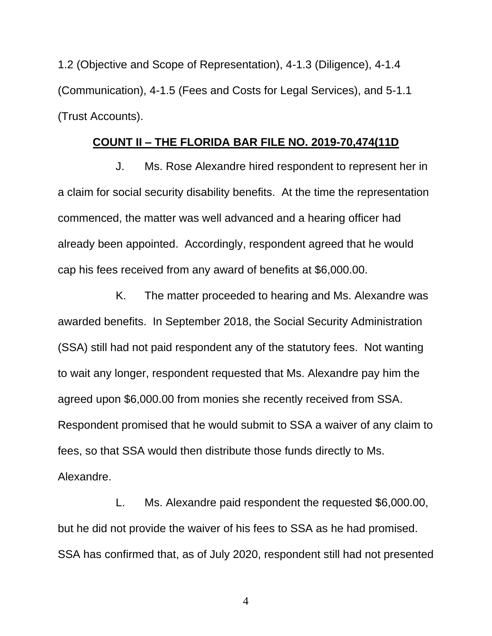1.2 (Objective and Scope of Representation), 4-1.3 (Diligence), 4-1.4 (Communication), 4-1.5 (Fees and Costs for Legal Services), and 5-1.1 (Trust Accounts).

### **COUNT II – THE FLORIDA BAR FILE NO. 2019-70,474(11D**

J. Ms. Rose Alexandre hired respondent to represent her in a claim for social security disability benefits. At the time the representation commenced, the matter was well advanced and a hearing officer had already been appointed. Accordingly, respondent agreed that he would cap his fees received from any award of benefits at \$6,000.00.

K. The matter proceeded to hearing and Ms. Alexandre was awarded benefits. In September 2018, the Social Security Administration (SSA) still had not paid respondent any of the statutory fees. Not wanting to wait any longer, respondent requested that Ms. Alexandre pay him the agreed upon \$6,000.00 from monies she recently received from SSA. Respondent promised that he would submit to SSA a waiver of any claim to fees, so that SSA would then distribute those funds directly to Ms. Alexandre.

L. Ms. Alexandre paid respondent the requested \$6,000.00, but he did not provide the waiver of his fees to SSA as he had promised. SSA has confirmed that, as of July 2020, respondent still had not presented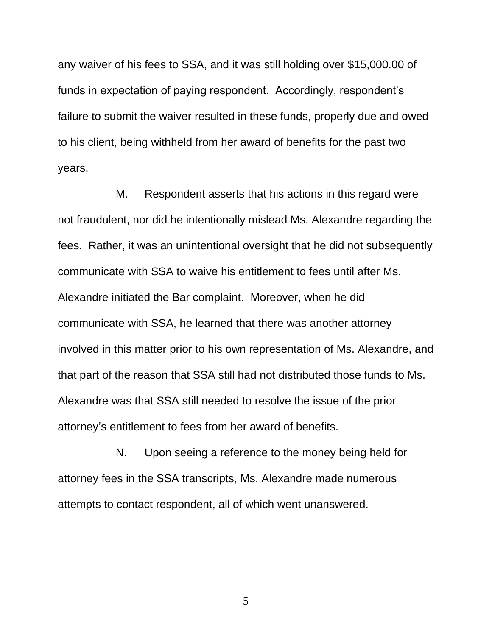any waiver of his fees to SSA, and it was still holding over \$15,000.00 of funds in expectation of paying respondent. Accordingly, respondent's failure to submit the waiver resulted in these funds, properly due and owed to his client, being withheld from her award of benefits for the past two years.

M. Respondent asserts that his actions in this regard were not fraudulent, nor did he intentionally mislead Ms. Alexandre regarding the fees. Rather, it was an unintentional oversight that he did not subsequently communicate with SSA to waive his entitlement to fees until after Ms. Alexandre initiated the Bar complaint. Moreover, when he did communicate with SSA, he learned that there was another attorney involved in this matter prior to his own representation of Ms. Alexandre, and that part of the reason that SSA still had not distributed those funds to Ms. Alexandre was that SSA still needed to resolve the issue of the prior attorney's entitlement to fees from her award of benefits.

N. Upon seeing a reference to the money being held for attorney fees in the SSA transcripts, Ms. Alexandre made numerous attempts to contact respondent, all of which went unanswered.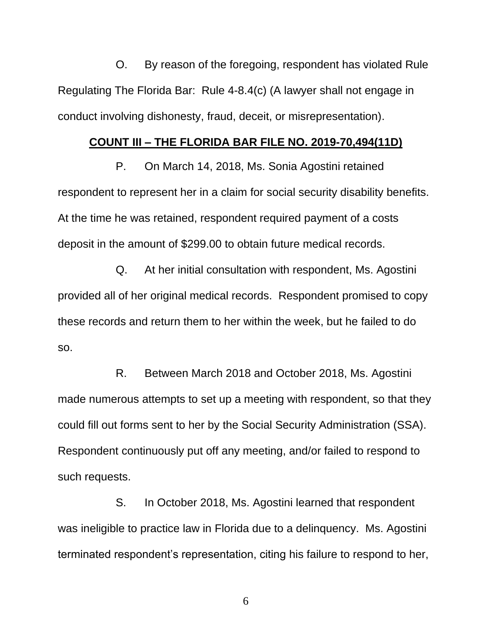O. By reason of the foregoing, respondent has violated Rule Regulating The Florida Bar: Rule 4-8.4(c) (A lawyer shall not engage in conduct involving dishonesty, fraud, deceit, or misrepresentation).

#### **COUNT III – THE FLORIDA BAR FILE NO. 2019-70,494(11D)**

P. On March 14, 2018, Ms. Sonia Agostini retained respondent to represent her in a claim for social security disability benefits. At the time he was retained, respondent required payment of a costs deposit in the amount of \$299.00 to obtain future medical records.

Q. At her initial consultation with respondent, Ms. Agostini provided all of her original medical records. Respondent promised to copy these records and return them to her within the week, but he failed to do so.

R. Between March 2018 and October 2018, Ms. Agostini made numerous attempts to set up a meeting with respondent, so that they could fill out forms sent to her by the Social Security Administration (SSA). Respondent continuously put off any meeting, and/or failed to respond to such requests.

S. In October 2018, Ms. Agostini learned that respondent was ineligible to practice law in Florida due to a delinquency. Ms. Agostini terminated respondent's representation, citing his failure to respond to her,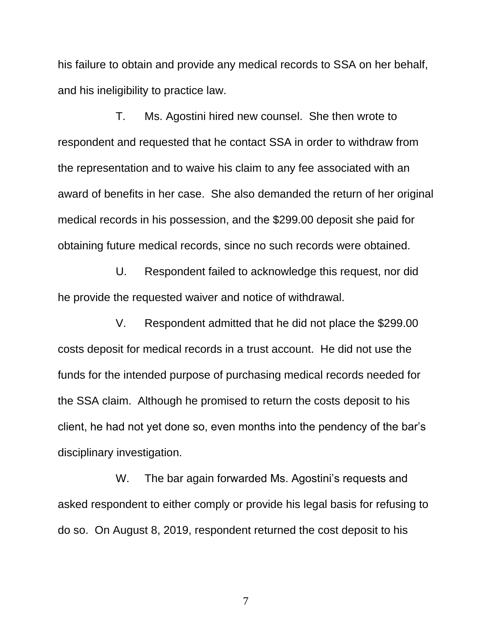his failure to obtain and provide any medical records to SSA on her behalf, and his ineligibility to practice law.

T. Ms. Agostini hired new counsel. She then wrote to respondent and requested that he contact SSA in order to withdraw from the representation and to waive his claim to any fee associated with an award of benefits in her case. She also demanded the return of her original medical records in his possession, and the \$299.00 deposit she paid for obtaining future medical records, since no such records were obtained.

U. Respondent failed to acknowledge this request, nor did he provide the requested waiver and notice of withdrawal.

V. Respondent admitted that he did not place the \$299.00 costs deposit for medical records in a trust account. He did not use the funds for the intended purpose of purchasing medical records needed for the SSA claim. Although he promised to return the costs deposit to his client, he had not yet done so, even months into the pendency of the bar's disciplinary investigation.

W. The bar again forwarded Ms. Agostini's requests and asked respondent to either comply or provide his legal basis for refusing to do so. On August 8, 2019, respondent returned the cost deposit to his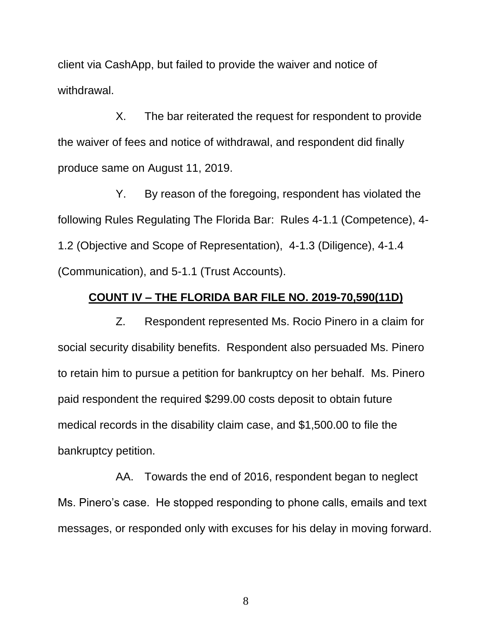client via CashApp, but failed to provide the waiver and notice of withdrawal.

X. The bar reiterated the request for respondent to provide the waiver of fees and notice of withdrawal, and respondent did finally produce same on August 11, 2019.

Y. By reason of the foregoing, respondent has violated the following Rules Regulating The Florida Bar: Rules 4-1.1 (Competence), 4- 1.2 (Objective and Scope of Representation), 4-1.3 (Diligence), 4-1.4 (Communication), and 5-1.1 (Trust Accounts).

#### **COUNT IV – THE FLORIDA BAR FILE NO. 2019-70,590(11D)**

Z. Respondent represented Ms. Rocio Pinero in a claim for social security disability benefits. Respondent also persuaded Ms. Pinero to retain him to pursue a petition for bankruptcy on her behalf. Ms. Pinero paid respondent the required \$299.00 costs deposit to obtain future medical records in the disability claim case, and \$1,500.00 to file the bankruptcy petition.

AA. Towards the end of 2016, respondent began to neglect Ms. Pinero's case. He stopped responding to phone calls, emails and text messages, or responded only with excuses for his delay in moving forward.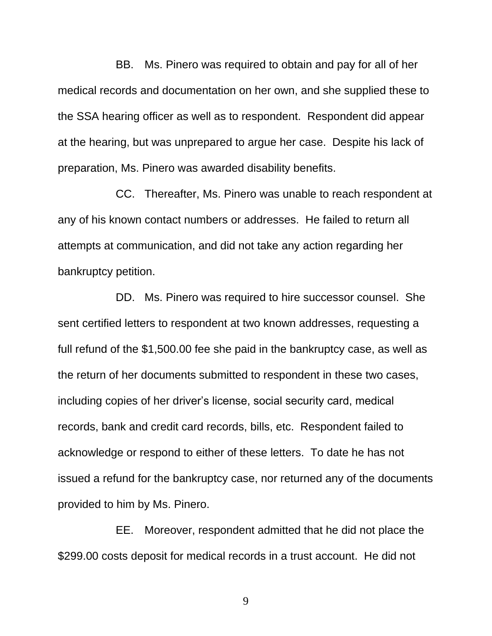BB. Ms. Pinero was required to obtain and pay for all of her medical records and documentation on her own, and she supplied these to the SSA hearing officer as well as to respondent. Respondent did appear at the hearing, but was unprepared to argue her case. Despite his lack of preparation, Ms. Pinero was awarded disability benefits.

CC. Thereafter, Ms. Pinero was unable to reach respondent at any of his known contact numbers or addresses. He failed to return all attempts at communication, and did not take any action regarding her bankruptcy petition.

DD. Ms. Pinero was required to hire successor counsel. She sent certified letters to respondent at two known addresses, requesting a full refund of the \$1,500.00 fee she paid in the bankruptcy case, as well as the return of her documents submitted to respondent in these two cases, including copies of her driver's license, social security card, medical records, bank and credit card records, bills, etc. Respondent failed to acknowledge or respond to either of these letters. To date he has not issued a refund for the bankruptcy case, nor returned any of the documents provided to him by Ms. Pinero.

EE. Moreover, respondent admitted that he did not place the \$299.00 costs deposit for medical records in a trust account. He did not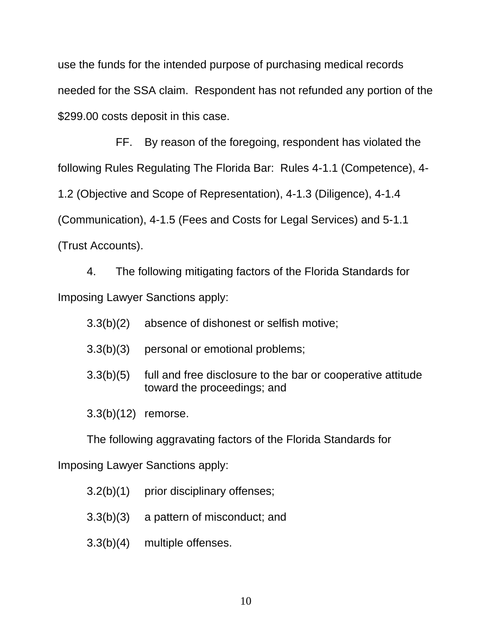use the funds for the intended purpose of purchasing medical records needed for the SSA claim. Respondent has not refunded any portion of the \$299.00 costs deposit in this case.

FF. By reason of the foregoing, respondent has violated the following Rules Regulating The Florida Bar: Rules 4-1.1 (Competence), 4- 1.2 (Objective and Scope of Representation), 4-1.3 (Diligence), 4-1.4 (Communication), 4-1.5 (Fees and Costs for Legal Services) and 5-1.1 (Trust Accounts).

4. The following mitigating factors of the Florida Standards for Imposing Lawyer Sanctions apply:

- 3.3(b)(2) absence of dishonest or selfish motive;
- 3.3(b)(3) personal or emotional problems;
- 3.3(b)(5) full and free disclosure to the bar or cooperative attitude toward the proceedings; and
- 3.3(b)(12) remorse.

The following aggravating factors of the Florida Standards for

Imposing Lawyer Sanctions apply:

- 3.2(b)(1) prior disciplinary offenses;
- 3.3(b)(3) a pattern of misconduct; and
- 3.3(b)(4) multiple offenses.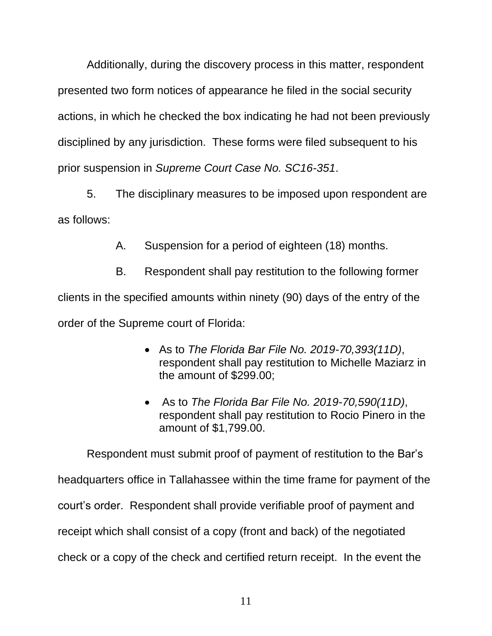Additionally, during the discovery process in this matter, respondent presented two form notices of appearance he filed in the social security actions, in which he checked the box indicating he had not been previously disciplined by any jurisdiction. These forms were filed subsequent to his prior suspension in *Supreme Court Case No. SC16-351*.

5. The disciplinary measures to be imposed upon respondent are as follows:

A. Suspension for a period of eighteen (18) months.

B. Respondent shall pay restitution to the following former clients in the specified amounts within ninety (90) days of the entry of the order of the Supreme court of Florida:

- As to *The Florida Bar File No. 2019-70,393(11D)*, respondent shall pay restitution to Michelle Maziarz in the amount of \$299.00;
- As to *The Florida Bar File No. 2019-70,590(11D)*, respondent shall pay restitution to Rocio Pinero in the amount of \$1,799.00.

Respondent must submit proof of payment of restitution to the Bar's headquarters office in Tallahassee within the time frame for payment of the court's order. Respondent shall provide verifiable proof of payment and receipt which shall consist of a copy (front and back) of the negotiated check or a copy of the check and certified return receipt. In the event the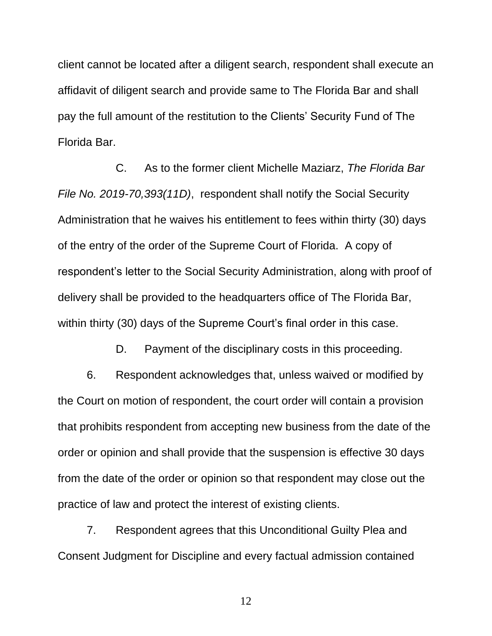client cannot be located after a diligent search, respondent shall execute an affidavit of diligent search and provide same to The Florida Bar and shall pay the full amount of the restitution to the Clients' Security Fund of The Florida Bar.

C. As to the former client Michelle Maziarz, *The Florida Bar File No. 2019-70,393(11D)*, respondent shall notify the Social Security Administration that he waives his entitlement to fees within thirty (30) days of the entry of the order of the Supreme Court of Florida. A copy of respondent's letter to the Social Security Administration, along with proof of delivery shall be provided to the headquarters office of The Florida Bar, within thirty (30) days of the Supreme Court's final order in this case.

D. Payment of the disciplinary costs in this proceeding.

6. Respondent acknowledges that, unless waived or modified by the Court on motion of respondent, the court order will contain a provision that prohibits respondent from accepting new business from the date of the order or opinion and shall provide that the suspension is effective 30 days from the date of the order or opinion so that respondent may close out the practice of law and protect the interest of existing clients.

7. Respondent agrees that this Unconditional Guilty Plea and Consent Judgment for Discipline and every factual admission contained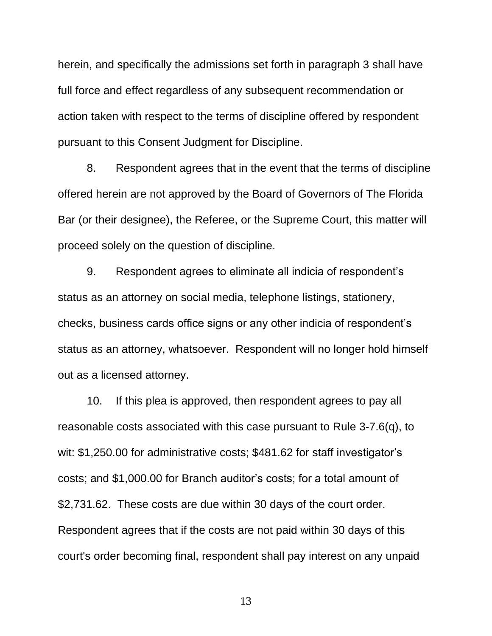herein, and specifically the admissions set forth in paragraph 3 shall have full force and effect regardless of any subsequent recommendation or action taken with respect to the terms of discipline offered by respondent pursuant to this Consent Judgment for Discipline.

8. Respondent agrees that in the event that the terms of discipline offered herein are not approved by the Board of Governors of The Florida Bar (or their designee), the Referee, or the Supreme Court, this matter will proceed solely on the question of discipline.

9. Respondent agrees to eliminate all indicia of respondent's status as an attorney on social media, telephone listings, stationery, checks, business cards office signs or any other indicia of respondent's status as an attorney, whatsoever. Respondent will no longer hold himself out as a licensed attorney.

10. If this plea is approved, then respondent agrees to pay all reasonable costs associated with this case pursuant to Rule 3-7.6(q), to wit: \$1,250.00 for administrative costs; \$481.62 for staff investigator's costs; and \$1,000.00 for Branch auditor's costs; for a total amount of \$2,731.62. These costs are due within 30 days of the court order. Respondent agrees that if the costs are not paid within 30 days of this court's order becoming final, respondent shall pay interest on any unpaid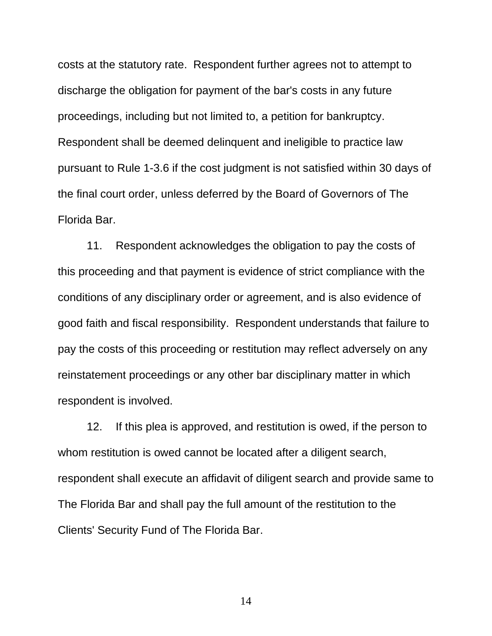costs at the statutory rate. Respondent further agrees not to attempt to discharge the obligation for payment of the bar's costs in any future proceedings, including but not limited to, a petition for bankruptcy. Respondent shall be deemed delinquent and ineligible to practice law pursuant to Rule 1-3.6 if the cost judgment is not satisfied within 30 days of the final court order, unless deferred by the Board of Governors of The Florida Bar.

11. Respondent acknowledges the obligation to pay the costs of this proceeding and that payment is evidence of strict compliance with the conditions of any disciplinary order or agreement, and is also evidence of good faith and fiscal responsibility. Respondent understands that failure to pay the costs of this proceeding or restitution may reflect adversely on any reinstatement proceedings or any other bar disciplinary matter in which respondent is involved.

12. If this plea is approved, and restitution is owed, if the person to whom restitution is owed cannot be located after a diligent search, respondent shall execute an affidavit of diligent search and provide same to The Florida Bar and shall pay the full amount of the restitution to the Clients' Security Fund of The Florida Bar.